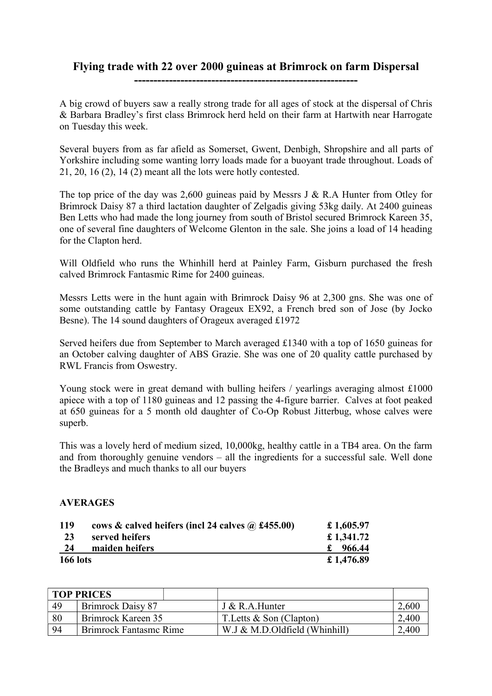## Flying trade with 22 over 2000 guineas at Brimrock on farm Dispersal ----------------------------------------------------------

A big crowd of buyers saw a really strong trade for all ages of stock at the dispersal of Chris & Barbara Bradley's first class Brimrock herd held on their farm at Hartwith near Harrogate on Tuesday this week.

Several buyers from as far afield as Somerset, Gwent, Denbigh, Shropshire and all parts of Yorkshire including some wanting lorry loads made for a buoyant trade throughout. Loads of 21, 20, 16 (2), 14 (2) meant all the lots were hotly contested.

The top price of the day was 2,600 guineas paid by Messrs J & R.A Hunter from Otley for Brimrock Daisy 87 a third lactation daughter of Zelgadis giving 53kg daily. At 2400 guineas Ben Letts who had made the long journey from south of Bristol secured Brimrock Kareen 35, one of several fine daughters of Welcome Glenton in the sale. She joins a load of 14 heading for the Clapton herd.

Will Oldfield who runs the Whinhill herd at Painley Farm, Gisburn purchased the fresh calved Brimrock Fantasmic Rime for 2400 guineas.

Messrs Letts were in the hunt again with Brimrock Daisy 96 at 2,300 gns. She was one of some outstanding cattle by Fantasy Orageux EX92, a French bred son of Jose (by Jocko Besne). The 14 sound daughters of Orageux averaged £1972

Served heifers due from September to March averaged £1340 with a top of 1650 guineas for an October calving daughter of ABS Grazie. She was one of 20 quality cattle purchased by RWL Francis from Oswestry.

Young stock were in great demand with bulling heifers / yearlings averaging almost £1000 apiece with a top of 1180 guineas and 12 passing the 4-figure barrier. Calves at foot peaked at 650 guineas for a 5 month old daughter of Co-Op Robust Jitterbug, whose calves were superb.

This was a lovely herd of medium sized, 10,000kg, healthy cattle in a TB4 area. On the farm and from thoroughly genuine vendors – all the ingredients for a successful sale. Well done the Bradleys and much thanks to all our buyers

## AVERAGES

| 119             | cows & calved heifers (incl 24 calves $\omega$ £455.00) | £ 1,605.97 |
|-----------------|---------------------------------------------------------|------------|
| 23              | served heifers                                          | £ 1,341.72 |
| 24              | maiden heifers                                          | 966.44     |
| <b>166 lots</b> |                                                         | £ 1,476.89 |

| <b>TOP PRICES</b> |                               |                               |       |
|-------------------|-------------------------------|-------------------------------|-------|
| 49                | Brimrock Daisy 87             | J & R.A.Hunter                | 2,600 |
| 80                | Brimrock Kareen 35            | T. Letts $\&$ Son (Clapton)   | ,400  |
| 94                | <b>Brimrock Fantasmc Rime</b> | W.J & M.D.Oldfield (Whinhill) | .400  |